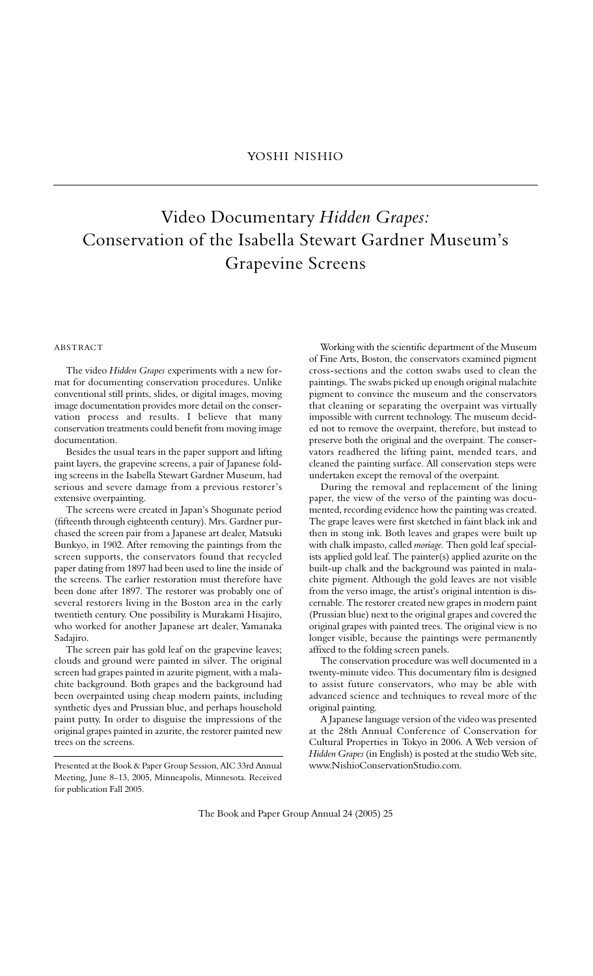## Video Documentary *Hidden Grapes:* Conservation of the Isabella Stewart Gardner Museum's Grapevine Screens

## **ABSTRACT**

The video *Hidden Grapes* experiments with a new format for documenting conservation procedures. Unlike conventional still prints, slides, or digital images, moving image documentation provides more detail on the conservation process and results. I believe that many conservation treatments could benefit from moving image documentation.

Besides the usual tears in the paper support and lifting paint layers, the grapevine screens, a pair of Japanese folding screens in the Isabella Stewart Gardner Museum, had serious and severe damage from a previous restorer's extensive overpainting.

The screens were created in Japan's Shogunate period (fifteenth through eighteenth century). Mrs. Gardner purchased the screen pair from a Japanese art dealer, Matsuki Bunkyo, in 1902. After removing the paintings from the screen supports, the conservators found that recycled paper dating from 1897 had been used to line the inside of the screens. The earlier restoration must therefore have been done after 1897. The restorer was probably one of several restorers living in the Boston area in the early twentieth century. One possibility is Murakami Hisajiro, who worked for another Japanese art dealer, Yamanaka Sadajiro.

The screen pair has gold leaf on the grapevine leaves; clouds and ground were painted in silver. The original screen had grapes painted in azurite pigment, with a malachite background. Both grapes and the background had been overpainted using cheap modern paints, including synthetic dyes and Prussian blue, and perhaps household paint putty. In order to disguise the impressions of the original grapes painted in azurite, the restorer painted new trees on the screens.

Working with the scientific department of the Museum of Fine Arts, Boston, the conservators examined pigment cross-sections and the cotton swabs used to clean the paintings. The swabs picked up enough original malachite pigment to convince the museum and the conservators that cleaning or separating the overpaint was virtually impossible with current technology. The museum decided not to remove the overpaint, therefore, but instead to preserve both the original and the overpaint. The conservators readhered the lifting paint, mended tears, and cleaned the painting surface. All conservation steps were undertaken except the removal of the overpaint.

During the removal and replacement of the lining paper, the view of the verso of the painting was documented, recording evidence how the painting was created. The grape leaves were first sketched in faint black ink and then in stong ink. Both leaves and grapes were built up with chalk impasto, called *moriage.* Then gold leaf specialists applied gold leaf. The painter(s) applied azurite on the built-up chalk and the background was painted in malachite pigment. Although the gold leaves are not visible from the verso image, the artist's original intention is discernable. The restorer created new grapes in modern paint ( Prussian blue) next to the original grapes and covered the original grapes with painted trees. The original view is no longer visible, because the paintings were permanently affixed to the folding screen panels.

The conservation procedure was well documented in a twenty-minute video. This documentary film is designed to assist future conservators, who may be able with advanced science and techniques to reveal more of the original painting.

A Japanese language version of the video was presented at the 28th Annual Conference of Conservation for Cultural Properties in Tokyo in 2006. A Web version of *Hidden Grapes* (in English) is posted at the studio Web site, www.NishioConservationStudio.com.

Presented at the Book & Paper Group Session, AIC 33rd Annual Meeting, June 8–13, 2005, Minneapolis, Minnesota. Received for publication Fall 2005.